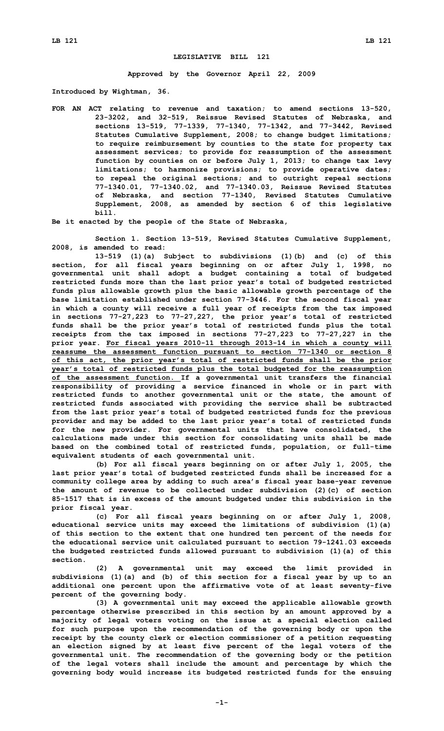## **LEGISLATIVE BILL 121**

**Approved by the Governor April 22, 2009**

**Introduced by Wightman, 36.**

**FOR AN ACT relating to revenue and taxation; to amend sections 13-520, 23-3202, and 32-519, Reissue Revised Statutes of Nebraska, and sections 13-519, 77-1339, 77-1340, 77-1342, and 77-3442, Revised Statutes Cumulative Supplement, 2008; to change budget limitations; to require reimbursement by counties to the state for property tax assessment services; to provide for reassumption of the assessment function by counties on or before July 1, 2013; to change tax levy limitations; to harmonize provisions; to provide operative dates; to repeal the original sections; and to outright repeal sections 77-1340.01, 77-1340.02, and 77-1340.03, Reissue Revised Statutes of Nebraska, and section 77-1340, Revised Statutes Cumulative Supplement, 2008, as amended by section 6 of this legislative bill.**

**Be it enacted by the people of the State of Nebraska,**

**Section 1. Section 13-519, Revised Statutes Cumulative Supplement, 2008, is amended to read:**

**13-519 (1)(a) Subject to subdivisions (1)(b) and (c) of this section, for all fiscal years beginning on or after July 1, 1998, no governmental unit shall adopt <sup>a</sup> budget containing <sup>a</sup> total of budgeted restricted funds more than the last prior year's total of budgeted restricted funds plus allowable growth plus the basic allowable growth percentage of the base limitation established under section 77-3446. For the second fiscal year in which <sup>a</sup> county will receive <sup>a</sup> full year of receipts from the tax imposed in sections 77-27,223 to 77-27,227, the prior year's total of restricted funds shall be the prior year's total of restricted funds plus the total receipts from the tax imposed in sections 77-27,223 to 77-27,227 in the prior year. For fiscal years 2010-11 through 2013-14 in which <sup>a</sup> county will reassume the assessment function pursuant to section 77-1340 or section 8 of this act, the prior year's total of restricted funds shall be the prior year's total of restricted funds plus the total budgeted for the reassumption of the assessment function. If <sup>a</sup> governmental unit transfers the financial responsibility of providing <sup>a</sup> service financed in whole or in part with restricted funds to another governmental unit or the state, the amount of restricted funds associated with providing the service shall be subtracted from the last prior year's total of budgeted restricted funds for the previous provider and may be added to the last prior year's total of restricted funds for the new provider. For governmental units that have consolidated, the calculations made under this section for consolidating units shall be made based on the combined total of restricted funds, population, or full-time equivalent students of each governmental unit.**

**(b) For all fiscal years beginning on or after July 1, 2005, the last prior year's total of budgeted restricted funds shall be increased for <sup>a</sup> community college area by adding to such area's fiscal year base-year revenue the amount of revenue to be collected under subdivision (2)(c) of section 85-1517 that is in excess of the amount budgeted under this subdivision in the prior fiscal year.**

**(c) For all fiscal years beginning on or after July 1, 2008, educational service units may exceed the limitations of subdivision (1)(a) of this section to the extent that one hundred ten percent of the needs for the educational service unit calculated pursuant to section 79-1241.03 exceeds the budgeted restricted funds allowed pursuant to subdivision (1)(a) of this section.**

**(2) <sup>A</sup> governmental unit may exceed the limit provided in subdivisions (1)(a) and (b) of this section for <sup>a</sup> fiscal year by up to an additional one percent upon the affirmative vote of at least seventy-five percent of the governing body.**

**(3) <sup>A</sup> governmental unit may exceed the applicable allowable growth percentage otherwise prescribed in this section by an amount approved by <sup>a</sup> majority of legal voters voting on the issue at <sup>a</sup> special election called for such purpose upon the recommendation of the governing body or upon the receipt by the county clerk or election commissioner of <sup>a</sup> petition requesting an election signed by at least five percent of the legal voters of the governmental unit. The recommendation of the governing body or the petition of the legal voters shall include the amount and percentage by which the governing body would increase its budgeted restricted funds for the ensuing**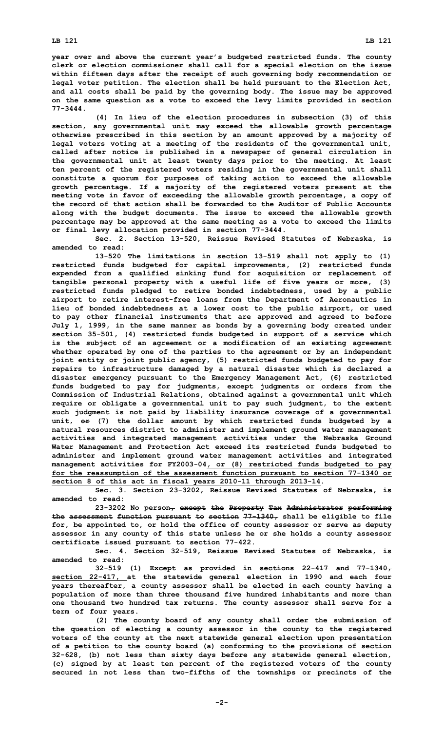**year over and above the current year's budgeted restricted funds. The county clerk or election commissioner shall call for <sup>a</sup> special election on the issue within fifteen days after the receipt of such governing body recommendation or legal voter petition. The election shall be held pursuant to the Election Act, and all costs shall be paid by the governing body. The issue may be approved on the same question as <sup>a</sup> vote to exceed the levy limits provided in section 77-3444.**

**(4) In lieu of the election procedures in subsection (3) of this section, any governmental unit may exceed the allowable growth percentage otherwise prescribed in this section by an amount approved by <sup>a</sup> majority of legal voters voting at <sup>a</sup> meeting of the residents of the governmental unit, called after notice is published in <sup>a</sup> newspaper of general circulation in the governmental unit at least twenty days prior to the meeting. At least ten percent of the registered voters residing in the governmental unit shall constitute <sup>a</sup> quorum for purposes of taking action to exceed the allowable growth percentage. If <sup>a</sup> majority of the registered voters present at the meeting vote in favor of exceeding the allowable growth percentage, <sup>a</sup> copy of the record of that action shall be forwarded to the Auditor of Public Accounts along with the budget documents. The issue to exceed the allowable growth percentage may be approved at the same meeting as <sup>a</sup> vote to exceed the limits or final levy allocation provided in section 77-3444.**

**Sec. 2. Section 13-520, Reissue Revised Statutes of Nebraska, is amended to read:**

**13-520 The limitations in section 13-519 shall not apply to (1) restricted funds budgeted for capital improvements, (2) restricted funds expended from <sup>a</sup> qualified sinking fund for acquisition or replacement of tangible personal property with <sup>a</sup> useful life of five years or more, (3) restricted funds pledged to retire bonded indebtedness, used by <sup>a</sup> public airport to retire interest-free loans from the Department of Aeronautics in lieu of bonded indebtedness at <sup>a</sup> lower cost to the public airport, or used to pay other financial instruments that are approved and agreed to before July 1, 1999, in the same manner as bonds by <sup>a</sup> governing body created under section 35-501, (4) restricted funds budgeted in support of <sup>a</sup> service which is the subject of an agreement or <sup>a</sup> modification of an existing agreement whether operated by one of the parties to the agreement or by an independent joint entity or joint public agency, (5) restricted funds budgeted to pay for repairs to infrastructure damaged by <sup>a</sup> natural disaster which is declared <sup>a</sup> disaster emergency pursuant to the Emergency Management Act, (6) restricted funds budgeted to pay for judgments, except judgments or orders from the Commission of Industrial Relations, obtained against <sup>a</sup> governmental unit which require or obligate <sup>a</sup> governmental unit to pay such judgment, to the extent such judgment is not paid by liability insurance coverage of <sup>a</sup> governmental unit, or (7) the dollar amount by which restricted funds budgeted by <sup>a</sup> natural resources district to administer and implement ground water management activities and integrated management activities under the Nebraska Ground Water Management and Protection Act exceed its restricted funds budgeted to administer and implement ground water management activities and integrated management activities for FY2003-04, or (8) restricted funds budgeted to pay for the reassumption of the assessment function pursuant to section 77-1340 or section 8 of this act in fiscal years 2010-11 through 2013-14.**

**Sec. 3. Section 23-3202, Reissue Revised Statutes of Nebraska, is amended to read:**

**23-3202 No person, except the Property Tax Administrator performing the assessment function pursuant to section 77-1340, shall be eligible to file for, be appointed to, or hold the office of county assessor or serve as deputy assessor in any county of this state unless he or she holds <sup>a</sup> county assessor certificate issued pursuant to section 77-422.**

**Sec. 4. Section 32-519, Reissue Revised Statutes of Nebraska, is amended to read:**

**32-519 (1) Except as provided in sections 22-417 and 77-1340, section 22-417, at the statewide general election in 1990 and each four years thereafter, <sup>a</sup> county assessor shall be elected in each county having <sup>a</sup> population of more than three thousand five hundred inhabitants and more than one thousand two hundred tax returns. The county assessor shall serve for <sup>a</sup> term of four years.**

**(2) The county board of any county shall order the submission of the question of electing <sup>a</sup> county assessor in the county to the registered voters of the county at the next statewide general election upon presentation of <sup>a</sup> petition to the county board (a) conforming to the provisions of section 32-628, (b) not less than sixty days before any statewide general election, (c) signed by at least ten percent of the registered voters of the county secured in not less than two-fifths of the townships or precincts of the**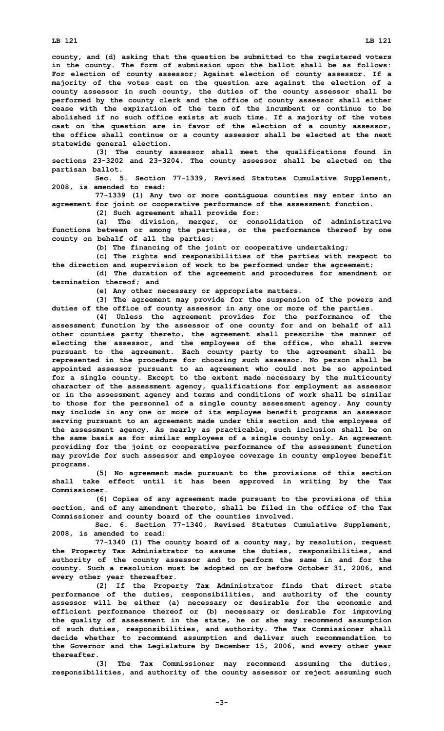**county, and (d) asking that the question be submitted to the registered voters in the county. The form of submission upon the ballot shall be as follows: For election of county assessor; Against election of county assessor. If <sup>a</sup> majority of the votes cast on the question are against the election of <sup>a</sup> county assessor in such county, the duties of the county assessor shall be performed by the county clerk and the office of county assessor shall either cease with the expiration of the term of the incumbent or continue to be abolished if no such office exists at such time. If <sup>a</sup> majority of the votes cast on the question are in favor of the election of <sup>a</sup> county assessor, the office shall continue or <sup>a</sup> county assessor shall be elected at the next statewide general election.**

**(3) The county assessor shall meet the qualifications found in sections 23-3202 and 23-3204. The county assessor shall be elected on the partisan ballot.**

**Sec. 5. Section 77-1339, Revised Statutes Cumulative Supplement, 2008, is amended to read:**

**77-1339 (1) Any two or more contiguous counties may enter into an agreement for joint or cooperative performance of the assessment function.**

**(2) Such agreement shall provide for:**

**(a) The division, merger, or consolidation of administrative functions between or among the parties, or the performance thereof by one county on behalf of all the parties;**

**(b) The financing of the joint or cooperative undertaking;**

**(c) The rights and responsibilities of the parties with respect to the direction and supervision of work to be performed under the agreement;**

**(d) The duration of the agreement and procedures for amendment or termination thereof; and**

**(e) Any other necessary or appropriate matters.**

**(3) The agreement may provide for the suspension of the powers and duties of the office of county assessor in any one or more of the parties.**

**(4) Unless the agreement provides for the performance of the assessment function by the assessor of one county for and on behalf of all other counties party thereto, the agreement shall prescribe the manner of electing the assessor, and the employees of the office, who shall serve pursuant to the agreement. Each county party to the agreement shall be represented in the procedure for choosing such assessor. No person shall be appointed assessor pursuant to an agreement who could not be so appointed for <sup>a</sup> single county. Except to the extent made necessary by the multicounty character of the assessment agency, qualifications for employment as assessor or in the assessment agency and terms and conditions of work shall be similar to those for the personnel of <sup>a</sup> single county assessment agency. Any county may include in any one or more of its employee benefit programs an assessor serving pursuant to an agreement made under this section and the employees of the assessment agency. As nearly as practicable, such inclusion shall be on the same basis as for similar employees of <sup>a</sup> single county only. An agreement providing for the joint or cooperative performance of the assessment function may provide for such assessor and employee coverage in county employee benefit programs.**

**(5) No agreement made pursuant to the provisions of this section shall take effect until it has been approved in writing by the Tax Commissioner.**

**(6) Copies of any agreement made pursuant to the provisions of this section, and of any amendment thereto, shall be filed in the office of the Tax Commissioner and county board of the counties involved.**

**Sec. 6. Section 77-1340, Revised Statutes Cumulative Supplement, 2008, is amended to read:**

**77-1340 (1) The county board of <sup>a</sup> county may, by resolution, request the Property Tax Administrator to assume the duties, responsibilities, and authority of the county assessor and to perform the same in and for the county. Such <sup>a</sup> resolution must be adopted on or before October 31, 2006, and every other year thereafter.**

**(2) If the Property Tax Administrator finds that direct state performance of the duties, responsibilities, and authority of the county assessor will be either (a) necessary or desirable for the economic and efficient performance thereof or (b) necessary or desirable for improving the quality of assessment in the state, he or she may recommend assumption of such duties, responsibilities, and authority. The Tax Commissioner shall decide whether to recommend assumption and deliver such recommendation to the Governor and the Legislature by December 15, 2006, and every other year thereafter.**

**(3) The Tax Commissioner may recommend assuming the duties, responsibilities, and authority of the county assessor or reject assuming such**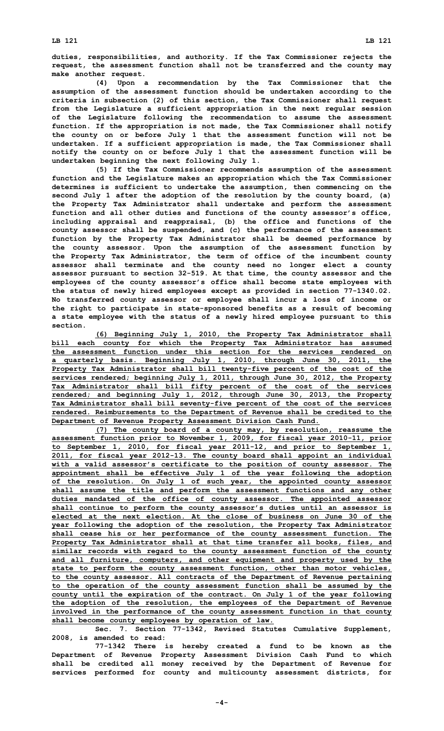**duties, responsibilities, and authority. If the Tax Commissioner rejects the request, the assessment function shall not be transferred and the county may make another request.**

**(4) Upon <sup>a</sup> recommendation by the Tax Commissioner that the assumption of the assessment function should be undertaken according to the criteria in subsection (2) of this section, the Tax Commissioner shall request from the Legislature <sup>a</sup> sufficient appropriation in the next regular session of the Legislature following the recommendation to assume the assessment function. If the appropriation is not made, the Tax Commissioner shall notify the county on or before July 1 that the assessment function will not be undertaken. If <sup>a</sup> sufficient appropriation is made, the Tax Commissioner shall notify the county on or before July 1 that the assessment function will be undertaken beginning the next following July 1.**

**(5) If the Tax Commissioner recommends assumption of the assessment function and the Legislature makes an appropriation which the Tax Commissioner determines is sufficient to undertake the assumption, then commencing on the second July 1 after the adoption of the resolution by the county board, (a) the Property Tax Administrator shall undertake and perform the assessment function and all other duties and functions of the county assessor's office, including appraisal and reappraisal, (b) the office and functions of the county assessor shall be suspended, and (c) the performance of the assessment function by the Property Tax Administrator shall be deemed performance by the county assessor. Upon the assumption of the assessment function by the Property Tax Administrator, the term of office of the incumbent county assessor shall terminate and the county need no longer elect <sup>a</sup> county assessor pursuant to section 32-519. At that time, the county assessor and the employees of the county assessor's office shall become state employees with the status of newly hired employees except as provided in section 77-1340.02. No transferred county assessor or employee shall incur <sup>a</sup> loss of income or the right to participate in state-sponsored benefits as <sup>a</sup> result of becoming <sup>a</sup> state employee with the status of <sup>a</sup> newly hired employee pursuant to this section.**

**(6) Beginning July 1, 2010, the Property Tax Administrator shall bill each county for which the Property Tax Administrator has assumed the assessment function under this section for the services rendered on <sup>a</sup> quarterly basis. Beginning July 1, 2010, through June 30, 2011, the Property Tax Administrator shall bill twenty-five percent of the cost of the services rendered; beginning July 1, 2011, through June 30, 2012, the Property Tax Administrator shall bill fifty percent of the cost of the services rendered; and beginning July 1, 2012, through June 30, 2013, the Property Tax Administrator shall bill seventy-five percent of the cost of the services rendered. Reimbursements to the Department of Revenue shall be credited to the Department of Revenue Property Assessment Division Cash Fund.**

**(7) The county board of <sup>a</sup> county may, by resolution, reassume the assessment function prior to November 1, 2009, for fiscal year 2010-11, prior to September 1, 2010, for fiscal year 2011-12, and prior to September 1, 2011, for fiscal year 2012-13. The county board shall appoint an individual with <sup>a</sup> valid assessor's certificate to the position of county assessor. The appointment shall be effective July 1 of the year following the adoption of the resolution. On July 1 of such year, the appointed county assessor shall assume the title and perform the assessment functions and any other duties mandated of the office of county assessor. The appointed assessor shall continue to perform the county assessor's duties until an assessor is elected at the next election. At the close of business on June 30 of the year following the adoption of the resolution, the Property Tax Administrator shall cease his or her performance of the county assessment function. The Property Tax Administrator shall at that time transfer all books, files, and similar records with regard to the county assessment function of the county and all furniture, computers, and other equipment and property used by the state to perform the county assessment function, other than motor vehicles, to the county assessor. All contracts of the Department of Revenue pertaining to the operation of the county assessment function shall be assumed by the county until the expiration of the contract. On July 1 of the year following the adoption of the resolution, the employees of the Department of Revenue involved in the performance of the county assessment function in that county shall become county employees by operation of law.**

**Sec. 7. Section 77-1342, Revised Statutes Cumulative Supplement, 2008, is amended to read:**

**77-1342 There is hereby created <sup>a</sup> fund to be known as the Department of Revenue Property Assessment Division Cash Fund to which shall be credited all money received by the Department of Revenue for services performed for county and multicounty assessment districts, for**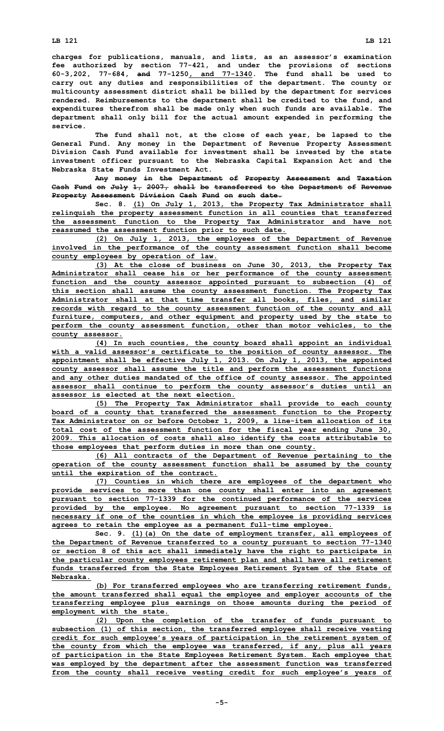**charges for publications, manuals, and lists, as an assessor's examination fee authorized by section 77-421, and under the provisions of sections 60-3,202, 77-684, and 77-1250, and 77-1340. The fund shall be used to carry out any duties and responsibilities of the department. The county or multicounty assessment district shall be billed by the department for services rendered. Reimbursements to the department shall be credited to the fund, and expenditures therefrom shall be made only when such funds are available. The department shall only bill for the actual amount expended in performing the service.**

**The fund shall not, at the close of each year, be lapsed to the General Fund. Any money in the Department of Revenue Property Assessment Division Cash Fund available for investment shall be invested by the state investment officer pursuant to the Nebraska Capital Expansion Act and the Nebraska State Funds Investment Act.**

**Any money in the Department of Property Assessment and Taxation Cash Fund on July 1, 2007, shall be transferred to the Department of Revenue Property Assessment Division Cash Fund on such date.**

**Sec. 8. (1) On July 1, 2013, the Property Tax Administrator shall relinquish the property assessment function in all counties that transferred the assessment function to the Property Tax Administrator and have not reassumed the assessment function prior to such date.**

**(2) On July 1, 2013, the employees of the Department of Revenue involved in the performance of the county assessment function shall become county employees by operation of law.**

**(3) At the close of business on June 30, 2013, the Property Tax Administrator shall cease his or her performance of the county assessment function and the county assessor appointed pursuant to subsection (4) of this section shall assume the county assessment function. The Property Tax Administrator shall at that time transfer all books, files, and similar records with regard to the county assessment function of the county and all furniture, computers, and other equipment and property used by the state to perform the county assessment function, other than motor vehicles, to the county assessor.**

**(4) In such counties, the county board shall appoint an individual with <sup>a</sup> valid assessor's certificate to the position of county assessor. The appointment shall be effective July 1, 2013. On July 1, 2013, the appointed county assessor shall assume the title and perform the assessment functions and any other duties mandated of the office of county assessor. The appointed assessor shall continue to perform the county assessor's duties until an assessor is elected at the next election.**

**(5) The Property Tax Administrator shall provide to each county board of <sup>a</sup> county that transferred the assessment function to the Property Tax Administrator on or before October 1, 2009, <sup>a</sup> line-item allocation of its total cost of the assessment function for the fiscal year ending June 30, 2009. This allocation of costs shall also identify the costs attributable to those employees that perform duties in more than one county.**

**(6) All contracts of the Department of Revenue pertaining to the operation of the county assessment function shall be assumed by the county until the expiration of the contract.**

**(7) Counties in which there are employees of the department who provide services to more than one county shall enter into an agreement pursuant to section 77-1339 for the continued performance of the services provided by the employee. No agreement pursuant to section 77-1339 is necessary if one of the counties in which the employee is providing services agrees to retain the employee as <sup>a</sup> permanent full-time employee.**

**Sec. 9. (1)(a) On the date of employment transfer, all employees of the Department of Revenue transferred to <sup>a</sup> county pursuant to section 77-1340 or section 8 of this act shall immediately have the right to participate in the particular county employees retirement plan and shall have all retirement funds transferred from the State Employees Retirement System of the State of Nebraska.**

**(b) For transferred employees who are transferring retirement funds, the amount transferred shall equal the employee and employer accounts of the transferring employee plus earnings on those amounts during the period of employment with the state.**

**(2) Upon the completion of the transfer of funds pursuant to subsection (1) of this section, the transferred employee shall receive vesting credit for such employee's years of participation in the retirement system of the county from which the employee was transferred, if any, plus all years of participation in the State Employees Retirement System. Each employee that was employed by the department after the assessment function was transferred from the county shall receive vesting credit for such employee's years of**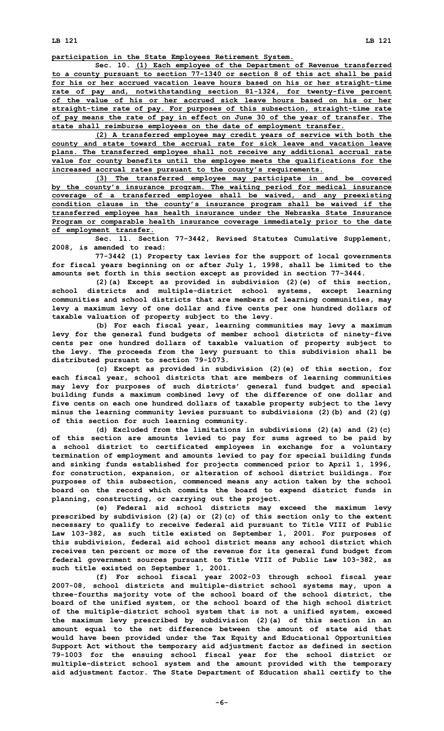**participation in the State Employees Retirement System.**

**Sec. 10. (1) Each employee of the Department of Revenue transferred to <sup>a</sup> county pursuant to section 77-1340 or section 8 of this act shall be paid for his or her accrued vacation leave hours based on his or her straight-time rate of pay and, notwithstanding section 81-1324, for twenty-five percent of the value of his or her accrued sick leave hours based on his or her straight-time rate of pay. For purposes of this subsection, straight-time rate of pay means the rate of pay in effect on June 30 of the year of transfer. The state shall reimburse employees on the date of employment transfer.**

**(2) <sup>A</sup> transferred employee may credit years of service with both the county and state toward the accrual rate for sick leave and vacation leave plans. The transferred employee shall not receive any additional accrual rate value for county benefits until the employee meets the qualifications for the increased accrual rates pursuant to the county's requirements.**

**(3) The transferred employee may participate in and be covered by the county's insurance program. The waiting period for medical insurance coverage of <sup>a</sup> transferred employee shall be waived, and any preexisting condition clause in the county's insurance program shall be waived if the transferred employee has health insurance under the Nebraska State Insurance Program or comparable health insurance coverage immediately prior to the date of employment transfer.**

**Sec. 11. Section 77-3442, Revised Statutes Cumulative Supplement, 2008, is amended to read:**

**77-3442 (1) Property tax levies for the support of local governments for fiscal years beginning on or after July 1, 1998, shall be limited to the amounts set forth in this section except as provided in section 77-3444.**

**(2)(a) Except as provided in subdivision (2)(e) of this section, school districts and multiple-district school systems, except learning communities and school districts that are members of learning communities, may levy <sup>a</sup> maximum levy of one dollar and five cents per one hundred dollars of taxable valuation of property subject to the levy.**

**(b) For each fiscal year, learning communities may levy <sup>a</sup> maximum levy for the general fund budgets of member school districts of ninety-five cents per one hundred dollars of taxable valuation of property subject to the levy. The proceeds from the levy pursuant to this subdivision shall be distributed pursuant to section 79-1073.**

**(c) Except as provided in subdivision (2)(e) of this section, for each fiscal year, school districts that are members of learning communities may levy for purposes of such districts' general fund budget and special building funds <sup>a</sup> maximum combined levy of the difference of one dollar and five cents on each one hundred dollars of taxable property subject to the levy minus the learning community levies pursuant to subdivisions (2)(b) and (2)(g) of this section for such learning community.**

**(d) Excluded from the limitations in subdivisions (2)(a) and (2)(c) of this section are amounts levied to pay for sums agreed to be paid by <sup>a</sup> school district to certificated employees in exchange for <sup>a</sup> voluntary termination of employment and amounts levied to pay for special building funds and sinking funds established for projects commenced prior to April 1, 1996, for construction, expansion, or alteration of school district buildings. For purposes of this subsection, commenced means any action taken by the school board on the record which commits the board to expend district funds in planning, constructing, or carrying out the project.**

**(e) Federal aid school districts may exceed the maximum levy prescribed by subdivision (2)(a) or (2)(c) of this section only to the extent necessary to qualify to receive federal aid pursuant to Title VIII of Public Law 103-382, as such title existed on September 1, 2001. For purposes of this subdivision, federal aid school district means any school district which receives ten percent or more of the revenue for its general fund budget from federal government sources pursuant to Title VIII of Public Law 103-382, as such title existed on September 1, 2001.**

**(f) For school fiscal year 2002-03 through school fiscal year 2007-08, school districts and multiple-district school systems may, upon <sup>a</sup> three-fourths majority vote of the school board of the school district, the board of the unified system, or the school board of the high school district of the multiple-district school system that is not <sup>a</sup> unified system, exceed the maximum levy prescribed by subdivision (2)(a) of this section in an amount equal to the net difference between the amount of state aid that would have been provided under the Tax Equity and Educational Opportunities Support Act without the temporary aid adjustment factor as defined in section 79-1003 for the ensuing school fiscal year for the school district or multiple-district school system and the amount provided with the temporary aid adjustment factor. The State Department of Education shall certify to the**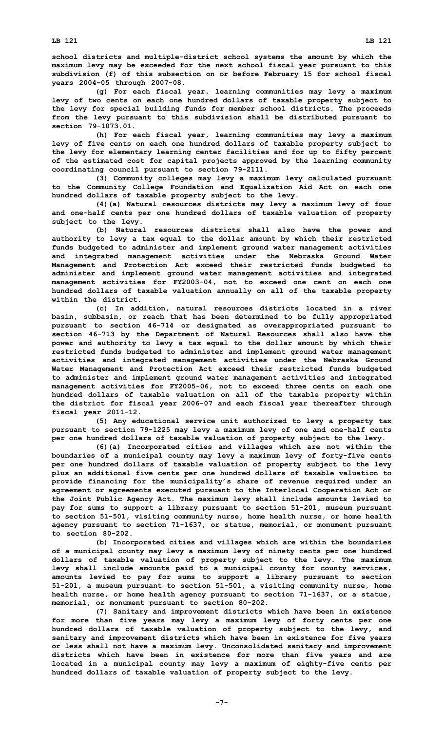**school districts and multiple-district school systems the amount by which the maximum levy may be exceeded for the next school fiscal year pursuant to this subdivision (f) of this subsection on or before February 15 for school fiscal years 2004-05 through 2007-08.**

**(g) For each fiscal year, learning communities may levy <sup>a</sup> maximum levy of two cents on each one hundred dollars of taxable property subject to the levy for special building funds for member school districts. The proceeds from the levy pursuant to this subdivision shall be distributed pursuant to section 79-1073.01.**

**(h) For each fiscal year, learning communities may levy <sup>a</sup> maximum levy of five cents on each one hundred dollars of taxable property subject to the levy for elementary learning center facilities and for up to fifty percent of the estimated cost for capital projects approved by the learning community coordinating council pursuant to section 79-2111.**

**(3) Community colleges may levy <sup>a</sup> maximum levy calculated pursuant to the Community College Foundation and Equalization Aid Act on each one hundred dollars of taxable property subject to the levy.**

**(4)(a) Natural resources districts may levy <sup>a</sup> maximum levy of four and one-half cents per one hundred dollars of taxable valuation of property subject to the levy.**

**(b) Natural resources districts shall also have the power and authority to levy <sup>a</sup> tax equal to the dollar amount by which their restricted funds budgeted to administer and implement ground water management activities and integrated management activities under the Nebraska Ground Water Management and Protection Act exceed their restricted funds budgeted to administer and implement ground water management activities and integrated management activities for FY2003-04, not to exceed one cent on each one hundred dollars of taxable valuation annually on all of the taxable property within the district.**

**(c) In addition, natural resources districts located in <sup>a</sup> river basin, subbasin, or reach that has been determined to be fully appropriated pursuant to section 46-714 or designated as overappropriated pursuant to section 46-713 by the Department of Natural Resources shall also have the power and authority to levy <sup>a</sup> tax equal to the dollar amount by which their restricted funds budgeted to administer and implement ground water management activities and integrated management activities under the Nebraska Ground Water Management and Protection Act exceed their restricted funds budgeted to administer and implement ground water management activities and integrated management activities for FY2005-06, not to exceed three cents on each one hundred dollars of taxable valuation on all of the taxable property within the district for fiscal year 2006-07 and each fiscal year thereafter through fiscal year 2011-12.**

**(5) Any educational service unit authorized to levy <sup>a</sup> property tax pursuant to section 79-1225 may levy <sup>a</sup> maximum levy of one and one-half cents per one hundred dollars of taxable valuation of property subject to the levy.**

**(6)(a) Incorporated cities and villages which are not within the boundaries of <sup>a</sup> municipal county may levy <sup>a</sup> maximum levy of forty-five cents per one hundred dollars of taxable valuation of property subject to the levy plus an additional five cents per one hundred dollars of taxable valuation to provide financing for the municipality's share of revenue required under an agreement or agreements executed pursuant to the Interlocal Cooperation Act or the Joint Public Agency Act. The maximum levy shall include amounts levied to pay for sums to support <sup>a</sup> library pursuant to section 51-201, museum pursuant to section 51-501, visiting community nurse, home health nurse, or home health agency pursuant to section 71-1637, or statue, memorial, or monument pursuant to section 80-202.**

**(b) Incorporated cities and villages which are within the boundaries of <sup>a</sup> municipal county may levy <sup>a</sup> maximum levy of ninety cents per one hundred dollars of taxable valuation of property subject to the levy. The maximum levy shall include amounts paid to <sup>a</sup> municipal county for county services, amounts levied to pay for sums to support <sup>a</sup> library pursuant to section 51-201, <sup>a</sup> museum pursuant to section 51-501, <sup>a</sup> visiting community nurse, home health nurse, or home health agency pursuant to section 71-1637, or <sup>a</sup> statue, memorial, or monument pursuant to section 80-202.**

**(7) Sanitary and improvement districts which have been in existence for more than five years may levy <sup>a</sup> maximum levy of forty cents per one hundred dollars of taxable valuation of property subject to the levy, and sanitary and improvement districts which have been in existence for five years or less shall not have <sup>a</sup> maximum levy. Unconsolidated sanitary and improvement districts which have been in existence for more than five years and are located in <sup>a</sup> municipal county may levy <sup>a</sup> maximum of eighty-five cents per hundred dollars of taxable valuation of property subject to the levy.**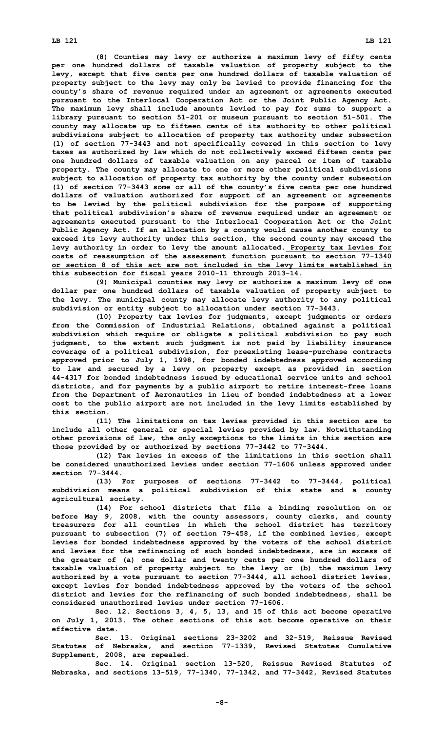**(8) Counties may levy or authorize <sup>a</sup> maximum levy of fifty cents per one hundred dollars of taxable valuation of property subject to the levy, except that five cents per one hundred dollars of taxable valuation of property subject to the levy may only be levied to provide financing for the county's share of revenue required under an agreement or agreements executed pursuant to the Interlocal Cooperation Act or the Joint Public Agency Act. The maximum levy shall include amounts levied to pay for sums to support <sup>a</sup> library pursuant to section 51-201 or museum pursuant to section 51-501. The county may allocate up to fifteen cents of its authority to other political subdivisions subject to allocation of property tax authority under subsection (1) of section 77-3443 and not specifically covered in this section to levy taxes as authorized by law which do not collectively exceed fifteen cents per one hundred dollars of taxable valuation on any parcel or item of taxable property. The county may allocate to one or more other political subdivisions subject to allocation of property tax authority by the county under subsection (1) of section 77-3443 some or all of the county's five cents per one hundred dollars of valuation authorized for support of an agreement or agreements to be levied by the political subdivision for the purpose of supporting that political subdivision's share of revenue required under an agreement or agreements executed pursuant to the Interlocal Cooperation Act or the Joint Public Agency Act. If an allocation by <sup>a</sup> county would cause another county to exceed its levy authority under this section, the second county may exceed the levy authority in order to levy the amount allocated. Property tax levies for costs of reassumption of the assessment function pursuant to section 77-1340 or section 8 of this act are not included in the levy limits established in this subsection for fiscal years 2010-11 through 2013-14.**

**(9) Municipal counties may levy or authorize <sup>a</sup> maximum levy of one dollar per one hundred dollars of taxable valuation of property subject to the levy. The municipal county may allocate levy authority to any political subdivision or entity subject to allocation under section 77-3443.**

**(10) Property tax levies for judgments, except judgments or orders from the Commission of Industrial Relations, obtained against <sup>a</sup> political subdivision which require or obligate <sup>a</sup> political subdivision to pay such judgment, to the extent such judgment is not paid by liability insurance coverage of <sup>a</sup> political subdivision, for preexisting lease-purchase contracts approved prior to July 1, 1998, for bonded indebtedness approved according to law and secured by <sup>a</sup> levy on property except as provided in section 44-4317 for bonded indebtedness issued by educational service units and school districts, and for payments by <sup>a</sup> public airport to retire interest-free loans from the Department of Aeronautics in lieu of bonded indebtedness at <sup>a</sup> lower cost to the public airport are not included in the levy limits established by this section.**

**(11) The limitations on tax levies provided in this section are to include all other general or special levies provided by law. Notwithstanding other provisions of law, the only exceptions to the limits in this section are those provided by or authorized by sections 77-3442 to 77-3444.**

**(12) Tax levies in excess of the limitations in this section shall be considered unauthorized levies under section 77-1606 unless approved under section 77-3444.**

**(13) For purposes of sections 77-3442 to 77-3444, political subdivision means <sup>a</sup> political subdivision of this state and <sup>a</sup> county agricultural society.**

**(14) For school districts that file <sup>a</sup> binding resolution on or before May 9, 2008, with the county assessors, county clerks, and county treasurers for all counties in which the school district has territory pursuant to subsection (7) of section 79-458, if the combined levies, except levies for bonded indebtedness approved by the voters of the school district and levies for the refinancing of such bonded indebtedness, are in excess of the greater of (a) one dollar and twenty cents per one hundred dollars of taxable valuation of property subject to the levy or (b) the maximum levy authorized by <sup>a</sup> vote pursuant to section 77-3444, all school district levies, except levies for bonded indebtedness approved by the voters of the school district and levies for the refinancing of such bonded indebtedness, shall be considered unauthorized levies under section 77-1606.**

**Sec. 12. Sections 3, 4, 5, 13, and 15 of this act become operative on July 1, 2013. The other sections of this act become operative on their effective date.**

**Sec. 13. Original sections 23-3202 and 32-519, Reissue Revised Statutes of Nebraska, and section 77-1339, Revised Statutes Cumulative Supplement, 2008, are repealed.**

**Sec. 14. Original section 13-520, Reissue Revised Statutes of Nebraska, and sections 13-519, 77-1340, 77-1342, and 77-3442, Revised Statutes**